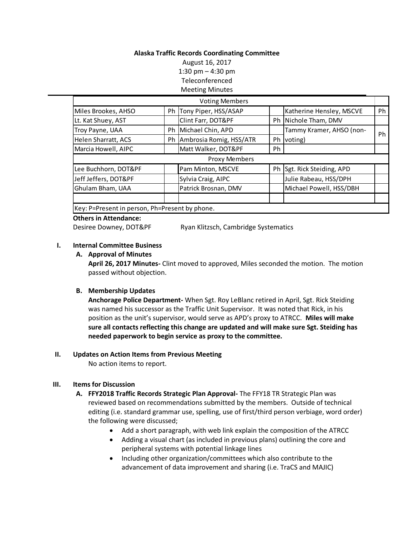### **Alaska Traffic Records Coordinating Committee**

August 16, 2017 1:30 pm – 4:30 pm Teleconferenced Meeting Minutes

|                      | <b>Voting Members</b>      |    |                          |    |
|----------------------|----------------------------|----|--------------------------|----|
| Miles Brookes, AHSO  | Ph Tony Piper, HSS/ASAP    |    | Katherine Hensley, MSCVE | Ph |
| Lt. Kat Shuey, AST   | Clint Farr, DOT&PF         |    | Ph Nichole Tham, DMV     |    |
| Troy Payne, UAA      | Ph Michael Chin, APD       |    | Tammy Kramer, AHSO (non- | Ph |
| Helen Sharratt, ACS  | Ph Ambrosia Romig, HSS/ATR | Ph | voting)                  |    |
| Marcia Howell, AIPC  | Matt Walker, DOT&PF        | Ph |                          |    |
|                      |                            |    |                          |    |
|                      | <b>Proxy Members</b>       |    |                          |    |
| Lee Buchhorn, DOT&PF | Pam Minton, MSCVE          | Ph | Sgt. Rick Steiding, APD  |    |
| Jeff Jeffers, DOT&PF | Sylvia Craig, AIPC         |    | Julie Rabeau, HSS/DPH    |    |
| Ghulam Bham, UAA     | Patrick Brosnan, DMV       |    | Michael Powell, HSS/DBH  |    |
|                      |                            |    |                          |    |

#### **Others in Attendance:**

Desiree Downey, DOT&PF Ryan Klitzsch, Cambridge Systematics

### **I. Internal Committee Business**

### **A. Approval of Minutes**

**April 26, 2017 Minutes-** Clint moved to approved, Miles seconded the motion. The motion passed without objection.

# **B. Membership Updates**

**Anchorage Police Department-** When Sgt. Roy LeBlanc retired in April, Sgt. Rick Steiding was named his successor as the Traffic Unit Supervisor. It was noted that Rick, in his position as the unit's supervisor, would serve as APD's proxy to ATRCC. **Miles will make sure all contacts reflecting this change are updated and will make sure Sgt. Steiding has needed paperwork to begin service as proxy to the committee.**

### **II. Updates on Action Items from Previous Meeting**

No action items to report.

### **III. Items for Discussion**

- **A. FFY2018 Traffic Records Strategic Plan Approval-** The FFY18 TR Strategic Plan was reviewed based on recommendations submitted by the members. Outside of technical editing (i.e. standard grammar use, spelling, use of first/third person verbiage, word order) the following were discussed;
	- Add a short paragraph, with web link explain the composition of the ATRCC
	- Adding a visual chart (as included in previous plans) outlining the core and peripheral systems with potential linkage lines
	- Including other organization/committees which also contribute to the advancement of data improvement and sharing (i.e. TraCS and MAJIC)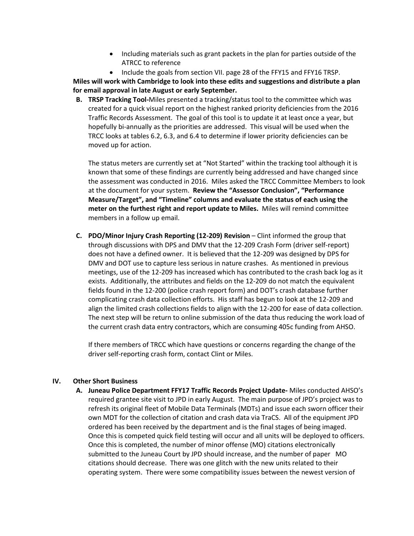- Including materials such as grant packets in the plan for parties outside of the ATRCC to reference
- Include the goals from section VII. page 28 of the FFY15 and FFY16 TRSP.

**Miles will work with Cambridge to look into these edits and suggestions and distribute a plan for email approval in late August or early September.** 

**B. TRSP Tracking Tool-**Miles presented a tracking/status tool to the committee which was created for a quick visual report on the highest ranked priority deficiencies from the 2016 Traffic Records Assessment. The goal of this tool is to update it at least once a year, but hopefully bi-annually as the priorities are addressed. This visual will be used when the TRCC looks at tables 6.2, 6.3, and 6.4 to determine if lower priority deficiencies can be moved up for action.

The status meters are currently set at "Not Started" within the tracking tool although it is known that some of these findings are currently being addressed and have changed since the assessment was conducted in 2016. Miles asked the TRCC Committee Members to look at the document for your system. **Review the "Assessor Conclusion", "Performance Measure/Target", and "Timeline" columns and evaluate the status of each using the meter on the furthest right and report update to Miles.** Miles will remind committee members in a follow up email.

**C. PDO/Minor Injury Crash Reporting (12-209) Revision** – Clint informed the group that through discussions with DPS and DMV that the 12-209 Crash Form (driver self-report) does not have a defined owner. It is believed that the 12-209 was designed by DPS for DMV and DOT use to capture less serious in nature crashes. As mentioned in previous meetings, use of the 12-209 has increased which has contributed to the crash back log as it exists. Additionally, the attributes and fields on the 12-209 do not match the equivalent fields found in the 12-200 (police crash report form) and DOT's crash database further complicating crash data collection efforts. His staff has begun to look at the 12-209 and align the limited crash collections fields to align with the 12-200 for ease of data collection. The next step will be return to online submission of the data thus reducing the work load of the current crash data entry contractors, which are consuming 405c funding from AHSO.

If there members of TRCC which have questions or concerns regarding the change of the driver self-reporting crash form, contact Clint or Miles.

### **IV. Other Short Business**

**A. Juneau Police Department FFY17 Traffic Records Project Update-** Miles conducted AHSO's required grantee site visit to JPD in early August. The main purpose of JPD's project was to refresh its original fleet of Mobile Data Terminals (MDTs) and issue each sworn officer their own MDT for the collection of citation and crash data via TraCS. All of the equipment JPD ordered has been received by the department and is the final stages of being imaged. Once this is competed quick field testing will occur and all units will be deployed to officers. Once this is completed, the number of minor offense (MO) citations electronically submitted to the Juneau Court by JPD should increase, and the number of paper MO citations should decrease. There was one glitch with the new units related to their operating system. There were some compatibility issues between the newest version of